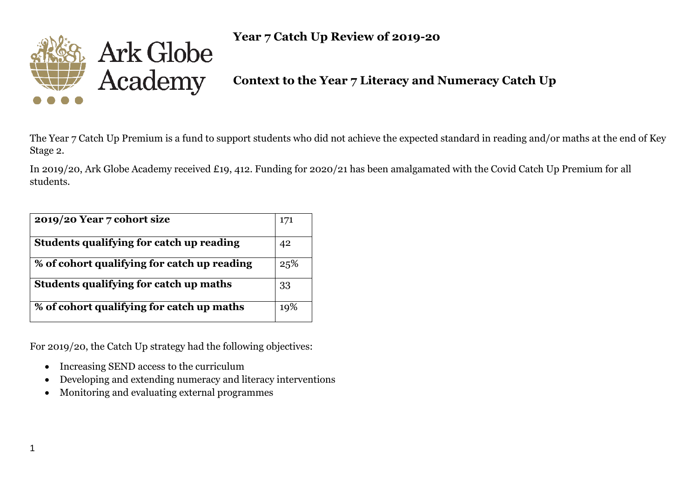

**Year 7 Catch Up Review of 2019-20**

**Context to the Year 7 Literacy and Numeracy Catch Up**

The Year 7 Catch Up Premium is a fund to support students who did not achieve the expected standard in reading and/or maths at the end of Key Stage 2.

In 2019/20, Ark Globe Academy received £19, 412. Funding for 2020/21 has been amalgamated with the Covid Catch Up Premium for all students.

| 2019/20 Year 7 cohort size                  | 171 |
|---------------------------------------------|-----|
| Students qualifying for catch up reading    | 42  |
| % of cohort qualifying for catch up reading | 25% |
| Students qualifying for catch up maths      | 33  |
| % of cohort qualifying for catch up maths   | 19% |

For 2019/20, the Catch Up strategy had the following objectives:

- Increasing SEND access to the curriculum
- Developing and extending numeracy and literacy interventions
- Monitoring and evaluating external programmes